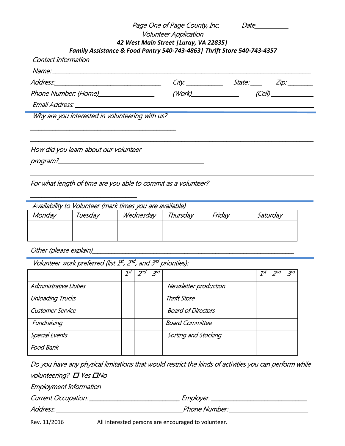|                                       | Page One of Page County, Inc.                                            |                                | Date                                    |
|---------------------------------------|--------------------------------------------------------------------------|--------------------------------|-----------------------------------------|
|                                       | <b>Volunteer Application</b><br>42 West Main Street   Luray, VA 22835    |                                |                                         |
|                                       | Family Assistance & Food Pantry 540-743-4863   Thrift Store 540-743-4357 |                                |                                         |
| Contact Information                   |                                                                          |                                |                                         |
|                                       |                                                                          |                                |                                         |
|                                       |                                                                          |                                |                                         |
| Phone Number: (Home)_________________ |                                                                          | $(Work)$ and the set of $Work$ | <u> 1990 - Jan Barnett, p</u><br>(Cell) |
|                                       |                                                                          |                                |                                         |

\_\_\_\_\_\_\_\_\_\_\_\_\_\_\_\_\_\_\_\_\_\_\_\_\_\_\_\_\_\_\_\_\_\_\_\_\_\_\_\_\_\_\_\_\_\_\_\_\_\_\_\_\_\_\_\_\_\_\_\_\_\_\_\_\_\_\_\_\_\_\_\_\_\_\_\_\_\_\_\_\_\_\_\_\_\_\_\_\_\_\_\_\_\_\_\_\_\_\_\_\_

For what length of time are you able to commit as a volunteer?

| Availability to Volunteer (mark times you are available) |         |           |          |        |          |  |  |
|----------------------------------------------------------|---------|-----------|----------|--------|----------|--|--|
| Monday                                                   | Tuesdav | Wednesday | Thursday | Friday | Saturday |  |  |
|                                                          |         |           |          |        |          |  |  |
|                                                          |         |           |          |        |          |  |  |

Other (please explain)

\_\_\_\_\_\_\_\_\_\_\_\_\_\_\_\_\_\_\_\_\_\_\_\_\_\_\_\_\_\_\_\_\_\_\_\_\_\_

Volunteer work preferred (list  $1^{st}$ ,  $2^{nd}$ , and  $3^{rd}$  priorities):

|                              | 1st | 3rd |                           | $\mathcal{I}^{st}$ | 3rd |
|------------------------------|-----|-----|---------------------------|--------------------|-----|
| <b>Administrative Duties</b> |     |     | Newsletter production     |                    |     |
| <b>Unloading Trucks</b>      |     |     | <b>Thrift Store</b>       |                    |     |
| <b>Customer Service</b>      |     |     | <b>Board of Directors</b> |                    |     |
| Fundraising                  |     |     | <b>Board Committee</b>    |                    |     |
| <b>Special Events</b>        |     |     | Sorting and Stocking      |                    |     |
| Food Bank                    |     |     |                           |                    |     |

| Do you have any physical limitations that would restrict the kinds of activities you can perform while |                                   |
|--------------------------------------------------------------------------------------------------------|-----------------------------------|
| volunteering? <b>O</b> Yes <b>ON</b> o                                                                 |                                   |
| <b>Employment Information</b>                                                                          |                                   |
| Current Occupation: _______________                                                                    | <i>Employer:</i> ________________ |
| Address:                                                                                               | Phone Number:                     |

Rev. 11/2016 All interested persons are encouraged to volunteer.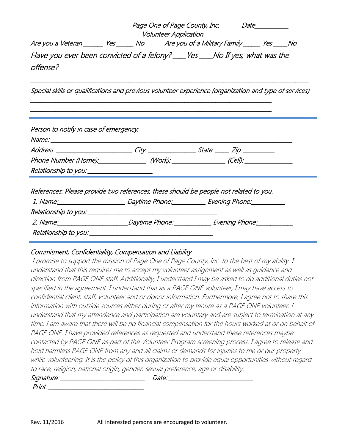|                                                                                          | Page One of Page County, Inc. | <i>Date</i> |
|------------------------------------------------------------------------------------------|-------------------------------|-------------|
|                                                                                          | <b>Volunteer Application</b>  |             |
| Are you a Veteran _______ Yes ______ No Are you of a Military Family ______ Yes _____ No |                               |             |
| Have you ever been convicted of a felony? ____ Yes ____ No If yes, what was the          |                               |             |
| <i>offense?</i>                                                                          |                               |             |

\_\_\_\_\_\_\_\_\_\_\_\_\_\_\_\_\_\_\_\_\_\_\_\_\_\_\_\_\_\_\_\_\_\_\_\_\_\_\_\_\_\_\_\_\_\_\_\_\_\_\_\_\_\_\_\_\_\_\_\_\_\_\_\_\_\_\_\_\_\_\_\_\_\_\_\_\_\_\_\_\_\_\_\_\_ Special skills or qualifications and previous volunteer experience (organization and type of services)

\_\_\_\_\_\_\_\_\_\_\_\_\_\_\_\_\_\_\_\_\_\_\_\_\_\_\_\_\_\_\_\_\_\_\_\_\_\_\_\_\_\_\_\_\_\_\_\_\_\_\_\_\_\_\_\_\_\_\_\_\_\_\_\_\_\_\_\_\_\_\_\_\_\_\_\_\_\_\_\_\_\_\_\_\_\_ \_\_\_\_\_\_\_\_\_\_\_\_\_\_\_\_\_\_\_\_\_\_\_\_\_\_\_\_\_\_\_\_\_\_\_\_\_\_\_\_\_\_\_\_\_\_\_\_\_\_\_\_\_\_\_\_\_\_\_\_\_\_\_\_\_\_\_\_\_\_\_\_\_\_\_\_\_\_\_\_\_\_\_\_\_\_

| Person to notify in case of emergency: |                                            |                                                                                                      |
|----------------------------------------|--------------------------------------------|------------------------------------------------------------------------------------------------------|
|                                        |                                            |                                                                                                      |
|                                        |                                            | Address: ____________________________City: ___________________________________Zip: _________________ |
|                                        |                                            | Phone Number (Home): (Work): (Work): (Cell): (Cell): (Cell)                                          |
|                                        |                                            |                                                                                                      |
|                                        | Relationship to you: _____________________ |                                                                                                      |
|                                        |                                            | References: Please provide two references, these should be people not related to you.                |
|                                        |                                            | 1. Name: <u>Name: Evening Phone:</u> Daytime Phone: Evening Phone: Name: 2014                        |
|                                        |                                            |                                                                                                      |
|                                        |                                            |                                                                                                      |

## Commitment, Confidentiality, Compensation and Liability

I promise to support the mission of Page One of Page County, Inc. to the best of my ability. I understand that this requires me to accept my volunteer assignment as well as guidance and direction from PAGE ONE staff. Additionally, I understand I may be asked to do additional duties not specified in the agreement. I understand that as a PAGE ONE volunteer, I may have access to confidential client, staff, volunteer and or donor information. Furthermore, I agree not to share this information with outside sources either during or after my tenure as a PAGE ONE volunteer. I understand that my attendance and participation are voluntary and are subject to termination at any time. I am aware that there will be no financial compensation for the hours worked at or on behalf of PAGE ONE. I have provided references as requested and understand these references maybe contacted by PAGE ONE as part of the Volunteer Program screening process. I agree to release and hold harmless PAGE ONE from any and all claims or demands for injuries to me or our property while volunteering. It is the policy of this organization to provide equal opportunities without regard to race, religion, national origin, gender, sexual preference, age or disability. Signature: \_\_\_\_\_\_\_\_\_\_\_\_\_\_\_\_\_\_\_\_\_\_\_\_\_\_\_\_\_\_ Date: \_\_\_\_\_\_\_\_\_\_\_\_\_\_\_\_\_\_\_\_\_\_\_\_\_\_\_\_\_\_

## Print: \_\_\_\_\_\_\_\_\_\_\_\_\_\_\_\_\_\_\_\_\_\_\_\_\_\_\_\_\_\_\_\_\_\_